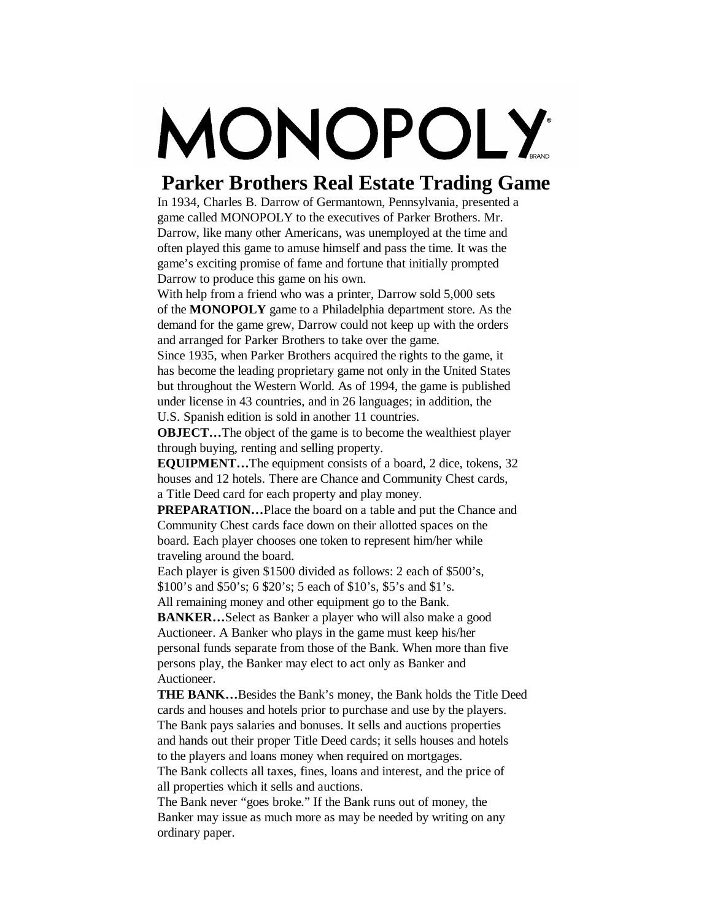## MONOPOLY

## **Parker Brothers Real Estate Trading Game**

In 1934, Charles B. Darrow of Germantown, Pennsylvania, presented a game called MONOPOLY to the executives of Parker Brothers. Mr. Darrow, like many other Americans, was unemployed at the time and often played this game to amuse himself and pass the time. It was the game's exciting promise of fame and fortune that initially prompted Darrow to produce this game on his own.

With help from a friend who was a printer, Darrow sold 5,000 sets of the **MONOPOLY** game to a Philadelphia department store. As the demand for the game grew, Darrow could not keep up with the orders and arranged for Parker Brothers to take over the game.

Since 1935, when Parker Brothers acquired the rights to the game, it has become the leading proprietary game not only in the United States but throughout the Western World. As of 1994, the game is published under license in 43 countries, and in 26 languages; in addition, the U.S. Spanish edition is sold in another 11 countries.

**OBJECT...** The object of the game is to become the wealthiest player through buying, renting and selling property.

**EQUIPMENT...** The equipment consists of a board, 2 dice, tokens, 32 houses and 12 hotels. There are Chance and Community Chest cards, a Title Deed card for each property and play money.

**PREPARATION...** Place the board on a table and put the Chance and Community Chest cards face down on their allotted spaces on the board. Each player chooses one token to represent him/her while traveling around the board.

Each player is given \$1500 divided as follows: 2 each of \$500's, \$100's and \$50's; 6 \$20's; 5 each of \$10's, \$5's and \$1's.

All remaining money and other equipment go to the Bank.

**BANKER...** Select as Banker a player who will also make a good Auctioneer. A Banker who plays in the game must keep his/her personal funds separate from those of the Bank. When more than five persons play, the Banker may elect to act only as Banker and Auctioneer.

**THE BANK...** Besides the Bank's money, the Bank holds the Title Deed cards and houses and hotels prior to purchase and use by the players. The Bank pays salaries and bonuses. It sells and auctions properties and hands out their proper Title Deed cards; it sells houses and hotels to the players and loans money when required on mortgages.

The Bank collects all taxes, fines, loans and interest, and the price of all properties which it sells and auctions.

The Bank never "goes broke." If the Bank runs out of money, the Banker may issue as much more as may be needed by writing on any ordinary paper.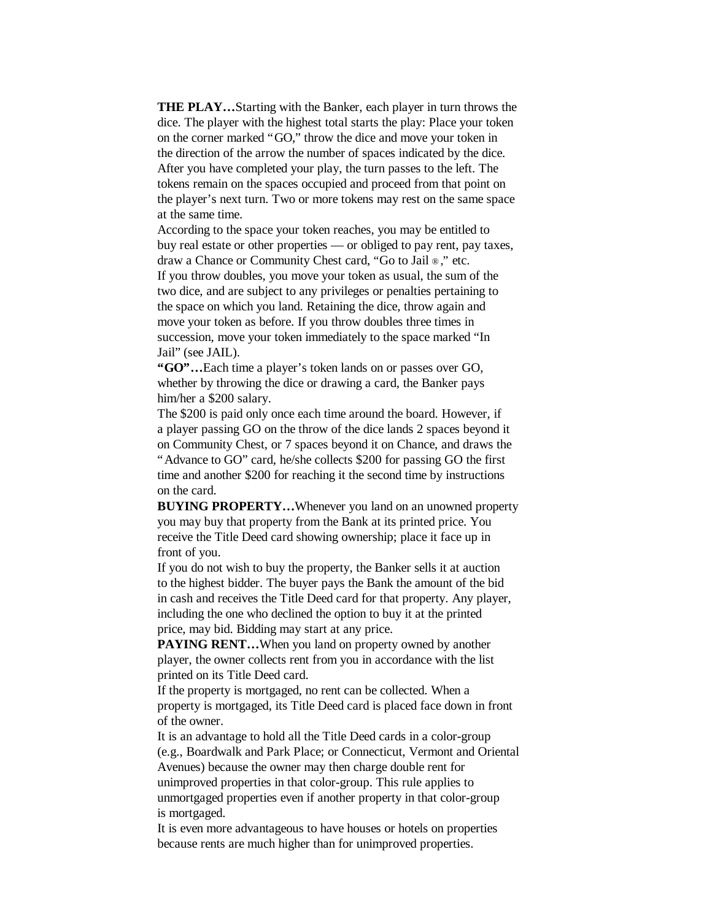**THE PLAY…** Starting with the Banker, each player in turn throws the dice. The player with the highest total starts the play: Place your token on the corner marked "GO," throw the dice and move your token in the direction of the arrow the number of spaces indicated by the dice. After you have completed your play, the turn passes to the left. The tokens remain on the spaces occupied and proceed from that point on the player's next turn. Two or more tokens may rest on the same space at the same time.

According to the space your token reaches, you may be entitled to buy real estate or other properties — or obliged to pay rent, pay taxes, draw a Chance or Community Chest card, "Go to Jail ® ," etc.

If you throw doubles, you move your token as usual, the sum of the two dice, and are subject to any privileges or penalties pertaining to the space on which you land. Retaining the dice, throw again and move your token as before. If you throw doubles three times in succession, move your token immediately to the space marked "In Jail"(see JAIL).

**"GO"…** Each time a player's token lands on or passes over GO, whether by throwing the dice or drawing a card, the Banker pays him/her a \$200 salary.

The \$200 is paid only once each time around the board. However, if a player passing GO on the throw of the dice lands 2 spaces beyond it on Community Chest, or 7 spaces beyond it on Chance, and draws the "Advance to GO" card, he/she collects \$200 for passing GO the first time and another \$200 for reaching it the second time by instructions on the card.

**BUYING PROPERTY…** Whenever you land on an unowned property you may buy that property from the Bank at its printed price. You receive the Title Deed card showing ownership; place it face up in front of you.

If you do not wish to buy the property, the Banker sells it at auction to the highest bidder. The buyer pays the Bank the amount of the bid in cash and receives the Title Deed card for that property. Any player, including the one who declined the option to buy it at the printed price, may bid. Bidding may start at any price.

**PAYING RENT...** When you land on property owned by another player, the owner collects rent from you in accordance with the list printed on its Title Deed card.

If the property is mortgaged, no rent can be collected. When a property is mortgaged, its Title Deed card is placed face down in front of the owner.

It is an advantage to hold all the Title Deed cards in a color-group (e.g., Boardwalk and Park Place; or Connecticut, Vermont and Oriental Avenues) because the owner may then charge double rent for unimproved properties in that color-group. This rule applies to unmortgaged properties even if another property in that color-group is mortgaged.

It is even more advantageous to have houses or hotels on properties because rents are much higher than for unimproved properties.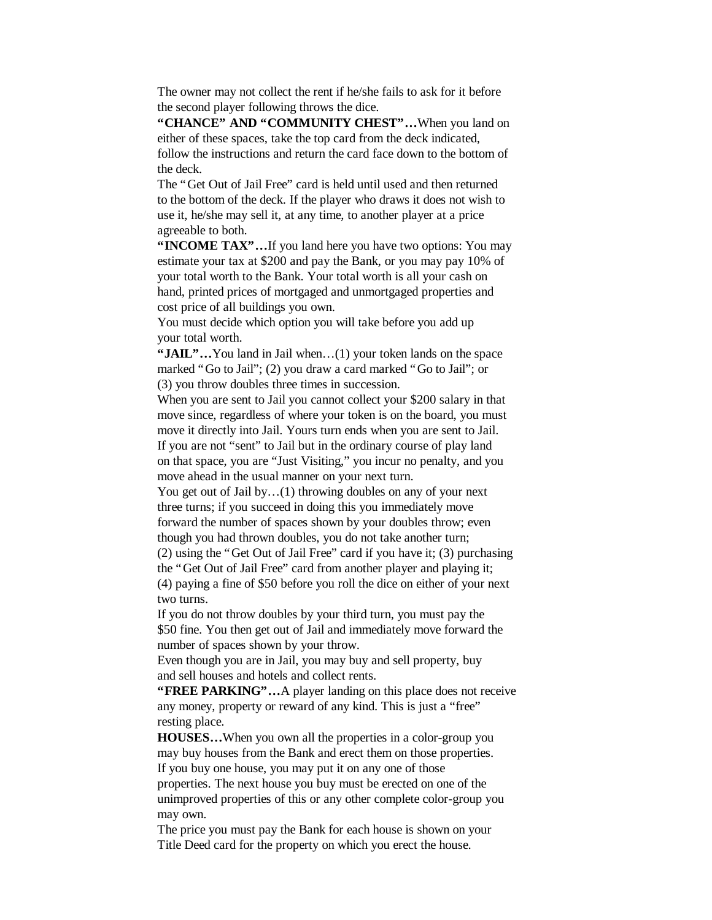The owner may not collect the rent if he/she fails to ask for it before the second player following throws the dice.

**"CHANCE" AND "COMMUNITY CHEST"…** When you land on either of these spaces, take the top card from the deck indicated, follow the instructions and return the card face down to the bottom of the deck.

The "Get Out of Jail Free" card is held until used and then returned to the bottom of the deck. If the player who draws it does not wish to use it, he/she may sell it, at any time, to another player at a price agreeable to both.

**"INCOME TAX"...** If you land here you have two options: You may estimate your tax at \$200 and pay the Bank, or you may pay 10% of your total worth to the Bank. Your total worth is all your cash on hand, printed prices of mortgaged and unmortgaged properties and cost price of all buildings you own.

You must decide which option you will take before you add up your total worth.

**"JAIL"…** You land in Jail when… (1) your token lands on the space marked "Go to Jail"; (2) you draw a card marked "Go to Jail"; or (3) you throw doubles three times in succession.

When you are sent to Jail you cannot collect your \$200 salary in that move since, regardless of where your token is on the board, you must move it directly into Jail. Yours turn ends when you are sent to Jail. If you are not "sent" to Jail but in the ordinary course of play land on that space, you are "Just Visiting," you incur no penalty, and you move ahead in the usual manner on your next turn.

You get out of Jail by...(1) throwing doubles on any of your next three turns; if you succeed in doing this you immediately move forward the number of spaces shown by your doubles throw; even though you had thrown doubles, you do not take another turn;

(2) using the "Get Out of Jail Free" card if you have it; (3) purchasing the "Get Out of Jail Free" card from another player and playing it; (4) paying a fine of \$50 before you roll the dice on either of your next

two turns.

If you do not throw doubles by your third turn, you must pay the \$50 fine. You then get out of Jail and immediately move forward the number of spaces shown by your throw.

Even though you are in Jail, you may buy and sell property, buy and sell houses and hotels and collect rents.

**"FREE PARKING"…** A player landing on this place does not receive any money, property or reward of any kind. This is just a "free" resting place.

**HOUSES…** When you own all the properties in a color-group you may buy houses from the Bank and erect them on those properties. If you buy one house, you may put it on any one of those properties. The next house you buy must be erected on one of the unimproved properties of this or any other complete color-group you may own.

The price you must pay the Bank for each house is shown on your Title Deed card for the property on which you erect the house.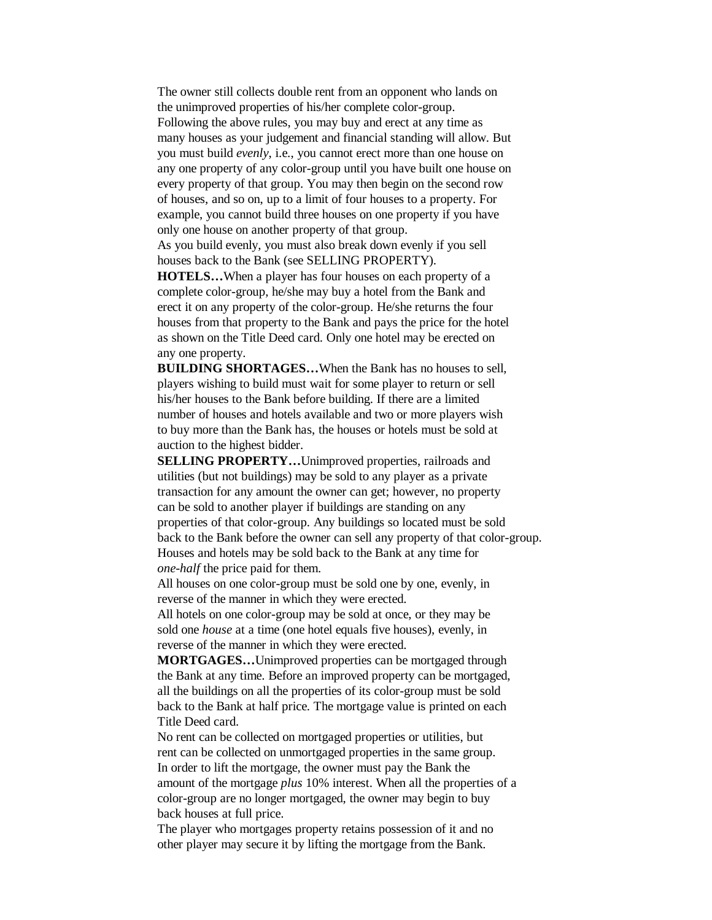The owner still collects double rent from an opponent who lands on the unimproved properties of his/her complete color-group. Following the above rules, you may buy and erect at any time as many houses as your judgement and financial standing will allow. But you must build *evenly*, i.e., you cannot erect more than one house on any one property of any color-group until you have built one house on every property of that group. You may then begin on the second row of houses, and so on, up to a limit of four houses to a property. For example, you cannot build three houses on one property if you have only one house on another property of that group.

As you build evenly, you must also break down evenly if you sell houses back to the Bank (see SELLING PROPERTY).

**HOTELS…** When a player has four houses on each property of a complete color-group, he/she may buy a hotel from the Bank and erect it on any property of the color-group. He/she returns the four houses from that property to the Bank and pays the price for the hotel as shown on the Title Deed card. Only one hotel may be erected on any one property.

**BUILDING SHORTAGES…** When the Bank has no houses to sell, players wishing to build must wait for some player to return or sell his/her houses to the Bank before building. If there are a limited number of houses and hotels available and two or more players wish to buy more than the Bank has, the houses or hotels must be sold at auction to the highest bidder.

**SELLING PROPERTY...** Unimproved properties, railroads and utilities (but not buildings) may be sold to any player as a private transaction for any amount the owner can get; however, no property can be sold to another player if buildings are standing on any properties of that color-group. Any buildings so located must be sold back to the Bank before the owner can sell any property of that color-group. Houses and hotels may be sold back to the Bank at any time for *one-half* the price paid for them.

All houses on one color-group must be sold one by one, evenly, in reverse of the manner in which they were erected.

All hotels on one color-group may be sold at once, or they may be sold one *house* at a time (one hotel equals five houses), evenly, in reverse of the manner in which they were erected.

**MORTGAGES…** Unimproved properties can be mortgaged through the Bank at any time. Before an improved property can be mortgaged, all the buildings on all the properties of its color-group must be sold back to the Bank at half price. The mortgage value is printed on each Title Deed card.

No rent can be collected on mortgaged properties or utilities, but rent can be collected on unmortgaged properties in the same group. In order to lift the mortgage, the owner must pay the Bank the amount of the mortgage *plus* 10% interest. When all the properties of a color-group are no longer mortgaged, the owner may begin to buy back houses at full price.

The player who mortgages property retains possession of it and no other player may secure it by lifting the mortgage from the Bank.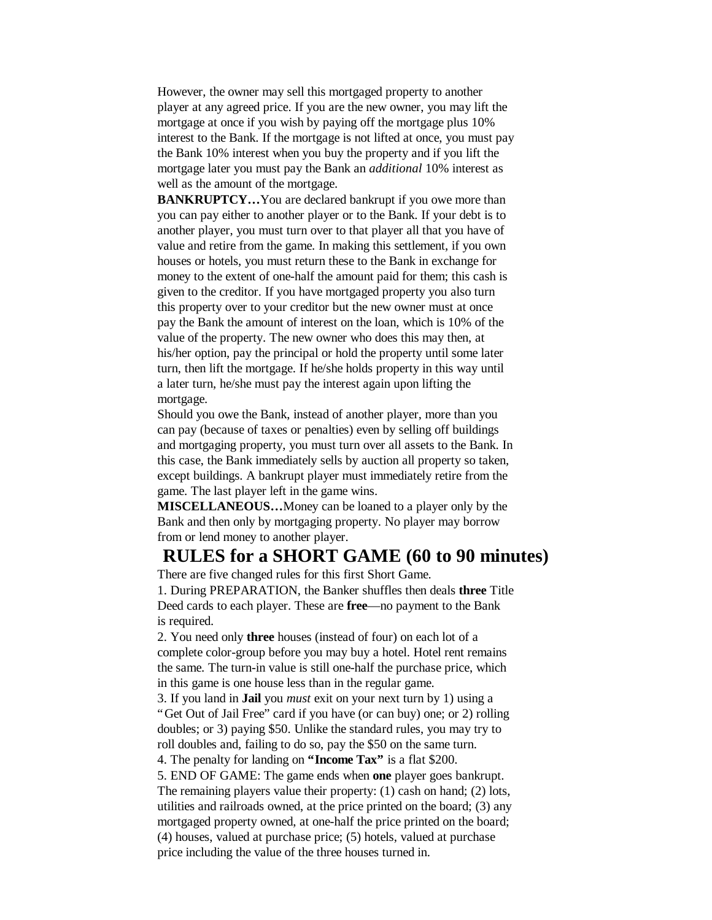However, the owner may sell this mortgaged property to another player at any agreed price. If you are the new owner, you may lift the mortgage at once if you wish by paying off the mortgage plus 10% interest to the Bank. If the mortgage is not lifted at once, you must pay the Bank 10% interest when you buy the property and if you lift the mortgage later you must pay the Bank an *additional* 10% interest as well as the amount of the mortgage.

**BANKRUPTCY...** You are declared bankrupt if you owe more than you can pay either to another player or to the Bank. If your debt is to another player, you must turn over to that player all that you have of value and retire from the game. In making this settlement, if you own houses or hotels, you must return these to the Bank in exchange for money to the extent of one-half the amount paid for them; this cash is given to the creditor. If you have mortgaged property you also turn this property over to your creditor but the new owner must at once pay the Bank the amount of interest on the loan, which is 10% of the value of the property. The new owner who does this may then, at his/her option, pay the principal or hold the property until some later turn, then lift the mortgage. If he/she holds property in this way until a later turn, he/she must pay the interest again upon lifting the mortgage.

Should you owe the Bank, instead of another player, more than you can pay (because of taxes or penalties) even by selling off buildings and mortgaging property, you must turn over all assets to the Bank. In this case, the Bank immediately sells by auction all property so taken, except buildings. A bankrupt player must immediately retire from the game. The last player left in the game wins.

**MISCELLANEOUS…** Money can be loaned to a player only by the Bank and then only by mortgaging property. No player may borrow from or lend money to another player.

## **RULES for a SHORT GAME (60 to 90 minutes)**

There are five changed rules for this first Short Game. 1. During PREPARATION, the Banker shuffles then deals **three** Title Deed cards to each player. These are **free**— no payment to the Bank is required.

2. You need only **three** houses (instead of four) on each lot of a complete color-group before you may buy a hotel. Hotel rent remains the same. The turn-in value is still one-half the purchase price, which in this game is one house less than in the regular game.

3. If you land in **Jail** you *must* exit on your next turn by 1) using a "Get Out of Jail Free" card if you have (or can buy) one; or 2) rolling doubles; or 3) paying \$50. Unlike the standard rules, you may try to roll doubles and, failing to do so, pay the \$50 on the same turn.

4. The penalty for landing on **"Income Tax"** is a flat \$200.

5. END OF GAME: The game ends when **one** player goes bankrupt. The remaining players value their property: (1) cash on hand; (2) lots, utilities and railroads owned, at the price printed on the board; (3) any mortgaged property owned, at one-half the price printed on the board; (4) houses, valued at purchase price; (5) hotels, valued at purchase price including the value of the three houses turned in.